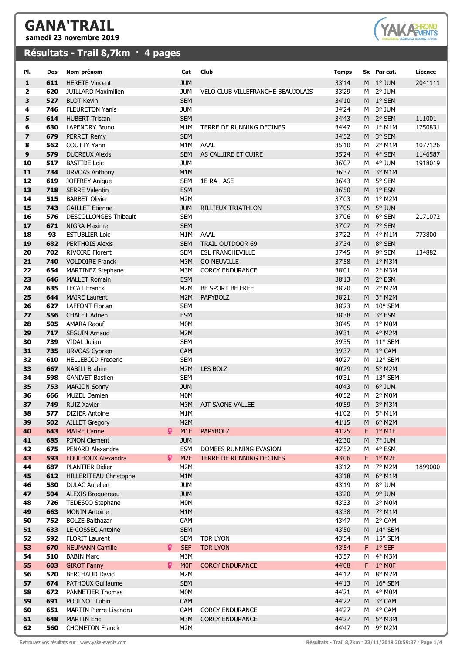## **GANA'TRAIL**

**samedi 23 novembre 2019**

## **Résultats - Trail 8,7km · 4 pages**



| PI.                     | Dos        | Nom-prénom                                          |    | Cat                            | Club                                     | <b>Temps</b>   |   | Sx Par cat.                      | Licence |
|-------------------------|------------|-----------------------------------------------------|----|--------------------------------|------------------------------------------|----------------|---|----------------------------------|---------|
| 1                       | 611        | <b>HERETE Vincent</b>                               |    | <b>JUM</b>                     |                                          | 33'14          |   | M 1° JUM                         | 2041111 |
| $\overline{\mathbf{2}}$ | 620        | <b>JUILLARD Maximilien</b>                          |    | <b>JUM</b>                     | <b>VELO CLUB VILLEFRANCHE BEAUJOLAIS</b> | 33'29          | M | 2° JUM                           |         |
| 3                       | 527        | <b>BLOT Kevin</b>                                   |    | <b>SEM</b>                     |                                          | 34'10          |   | M 1° SEM                         |         |
| 4                       | 746        | <b>FLEURETON Yanis</b>                              |    | <b>JUM</b>                     |                                          | 34'24          | M | 3° JUM                           |         |
| 5                       | 614        | <b>HUBERT Tristan</b>                               |    | <b>SEM</b>                     |                                          | 34'43          |   | M 2° SEM                         | 111001  |
| 6                       | 630        | <b>LAPENDRY Bruno</b>                               |    | M1M                            | TERRE DE RUNNING DECINES                 | 34'47          |   | $M1°$ M1M                        | 1750831 |
| $\overline{\mathbf{z}}$ | 679        | <b>PERRET Remy</b>                                  |    | <b>SEM</b>                     |                                          | 34'52          |   | M 3° SEM                         |         |
| 8                       | 562        | <b>COUTTY Yann</b>                                  |    | M1M                            | AAAL                                     | 35'10          | M | $2^{\circ}$ M1M                  | 1077126 |
| 9                       | 579        | <b>DUCREUX Alexis</b>                               |    | <b>SEM</b>                     | AS CALUIRE ET CUIRE                      | 35'24          |   | M 4° SEM                         | 1146587 |
| 10                      | 517        | <b>BASTIDE Loic</b>                                 |    | <b>JUM</b>                     |                                          | 36'07          |   | M 4° JUM                         | 1918019 |
| 11                      | 734        | <b>URVOAS Anthony</b>                               |    | M1M                            |                                          | 36'37          |   | M 3° M1M                         |         |
| 12                      | 619        | <b>JOFFREY Anique</b>                               |    | <b>SEM</b>                     | 1E RA ASE                                | 36'43          |   | M 5° SEM                         |         |
| 13                      | 718        | <b>SERRE Valentin</b>                               |    | <b>ESM</b>                     |                                          | 36'50          |   | M 1º ESM                         |         |
| 14                      | 515        | <b>BARBET Olivier</b>                               |    | M2M                            |                                          | 37'03          |   | M <sub>1</sub> ° M2M             |         |
| 15                      | 743        | <b>GAILLET Etienne</b>                              |    | <b>JUM</b>                     | RILLIEUX TRIATHLON                       | 37'05          |   | M 5° JUM                         |         |
| 16<br>17                | 576<br>671 | <b>DESCOLLONGES Thibault</b><br><b>NIGRA Maxime</b> |    | <b>SEM</b><br><b>SEM</b>       |                                          | 37'06<br>37'07 |   | M 6° SEM<br>M 7° SEM             | 2171072 |
| 18                      | 93         | <b>ESTUBLIER Loic</b>                               |    | M1M                            | AAAL                                     | 37'22          |   | $M$ 4° M1M                       | 773800  |
| 19                      | 682        | <b>PERTHOIS Alexis</b>                              |    | <b>SEM</b>                     | TRAIL OUTDOOR 69                         | 37'34          |   | M 8° SEM                         |         |
| 20                      | 702        | <b>RIVOIRE Florent</b>                              |    | <b>SEM</b>                     | <b>ESL FRANCHEVILLE</b>                  | 37'45          | м | 9° SEM                           | 134882  |
| 21                      | 740        | <b>VOLDOIRE Franck</b>                              |    | M3M                            | <b>GO NEUVILLE</b>                       | 37'58          |   | M 1° M3M                         |         |
| 22                      | 654        | <b>MARTINEZ Stephane</b>                            |    | M3M                            | <b>CORCY ENDURANCE</b>                   | 38'01          | M | 2° M3M                           |         |
| 23                      | 646        | <b>MALLET Romain</b>                                |    | <b>ESM</b>                     |                                          | 38'13          |   | M 2° ESM                         |         |
| 24                      | 635        | <b>LECAT Franck</b>                                 |    | M2M                            | BE SPORT BE FREE                         | 38'20          |   | M 2° M2M                         |         |
| 25                      | 644        | <b>MAIRE Laurent</b>                                |    | M2M                            | <b>PAPYBOLZ</b>                          | 38'21          |   | M 3° M2M                         |         |
| 26                      | 627        | <b>LAFFONT Florian</b>                              |    | <b>SEM</b>                     |                                          | 38'23          |   | M 10° SEM                        |         |
| 27                      | 556        | <b>CHALET Adrien</b>                                |    | <b>ESM</b>                     |                                          | 38'38          |   | M 3° ESM                         |         |
| 28                      | 505        | <b>AMARA Raouf</b>                                  |    | M <sub>0</sub> M               |                                          | 38'45          |   | M <sub>1</sub> ° M0M             |         |
| 29                      | 717        | <b>SEGUIN Arnaud</b>                                |    | M2M                            |                                          | 39'31          |   | M 4° M2M                         |         |
| 30                      | 739        | VIDAL Julian                                        |    | <b>SEM</b>                     |                                          | 39'35          |   | M 11° SEM                        |         |
| 31                      | 735        | <b>URVOAS Cyprien</b>                               |    | CAM                            |                                          | 39'37          |   | M 1º CAM                         |         |
| 32                      | 610        | <b>HELLEBOID Frederic</b>                           |    | <b>SEM</b>                     |                                          | 40'27          |   | M 12° SEM                        |         |
| 33                      | 667        | <b>NABILI Brahim</b>                                |    | M2M                            | <b>LES BOLZ</b>                          | 40'29          |   | M 5° M2M                         |         |
| 34                      | 598        | <b>GANIVET Bastien</b>                              |    | <b>SEM</b>                     |                                          | 40'31          |   | M 13° SEM                        |         |
| 35<br>36                | 753<br>666 | <b>MARION Sonny</b><br><b>MUZEL Damien</b>          |    | <b>JUM</b><br>M <sub>0</sub> M |                                          | 40'43<br>40'52 |   | M 6° JUM<br>M <sub>2</sub> ° M0M |         |
| 37                      | 749        | <b>RUIZ Xavier</b>                                  |    | M3M                            | AJT SAONE VALLEE                         | 40'59          |   | M 3° M3M                         |         |
| 38                      | 577        |                                                     |    | M1M                            |                                          | 41'02          | M |                                  |         |
| 39                      | 502        | DIZIER Antoine<br><b>AILLET Gregory</b>             |    | M2M                            |                                          | 41'15          | м | $5^{\circ}$ M1M<br>6° M2M        |         |
| 40                      | 643        | <b>MAIRE Carine</b>                                 | Q. | M1F                            | <b>PAPYBOLZ</b>                          | 41'25          |   | $F$ 1° M1F                       |         |
| 41                      | 685        | <b>PINON Clement</b>                                |    | <b>JUM</b>                     |                                          | 42'30          |   | M 7° JUM                         |         |
| 42                      | 675        | PENARD Alexandre                                    |    | <b>ESM</b>                     | DOMBES RUNNING EVASION                   | 42'52          | М | 4° ESM                           |         |
| 43                      | 593        | <b>FOULHOUX Alexandra</b>                           | Q. | M <sub>2F</sub>                | TERRE DE RUNNING DECINES                 | 43'06          |   | $F$ 1° M2F                       |         |
| 44                      | 687        | PLANTIER Didier                                     |    | M2M                            |                                          | 43'12          | м | 7° M2M                           | 1899000 |
| 45                      | 612        | HILLERITEAU Christophe                              |    | M1M                            |                                          | 43'18          |   | M 6° M1M                         |         |
| 46                      | 580        | <b>DULAC Aurelien</b>                               |    | <b>JUM</b>                     |                                          | 43'19          | М | 8° JUM                           |         |
| 47                      | 504        | ALEXIS Broguereau                                   |    | <b>JUM</b>                     |                                          | 43'20          |   | M 9° JUM                         |         |
| 48                      | 726        | TEDESCO Stephane                                    |    | M0M                            |                                          | 43'33          | м | 3° MOM                           |         |
| 49                      | 663        | <b>MONIN Antoine</b>                                |    | M1M                            |                                          | 43'38          |   | M 7° M1M                         |         |
| 50                      | 752        | <b>BOLZE Balthazar</b>                              |    | CAM                            |                                          | 43'47          |   | M 2° CAM                         |         |
| 51                      | 633        | LE-COSSEC Antoine                                   |    | <b>SEM</b>                     |                                          | 43'50          |   | M 14° SEM                        |         |
| 52                      | 592        | <b>FLORIT Laurent</b>                               |    | <b>SEM</b>                     | TDR LYON                                 | 43'54          |   | M 15° SEM                        |         |
| 53<br>54                | 670<br>510 | <b>NEUMANN Camille</b>                              | ¥. | <b>SEF</b><br>M3M              | <b>TDR LYON</b>                          | 43'54          |   | F 1° SEF<br>4° M3M               |         |
| 55                      | 603        | <b>BABIN Marc</b>                                   | Q. | M <sub>OF</sub>                |                                          | 43'57          | м | F 1° MOF                         |         |
| 56                      | 520        | <b>GIROT Fanny</b><br><b>BERCHAUD David</b>         |    | M2M                            | <b>CORCY ENDURANCE</b>                   | 44'08<br>44'12 | м | 8° M2M                           |         |
| 57                      | 674        | PATHOUX Guillaume                                   |    | <b>SEM</b>                     |                                          | 44'13          | M | $16^{\circ}$ SEM                 |         |
| 58                      | 672        | PANNETIER Thomas                                    |    | M0M                            |                                          | 44'21          | М | 4° MOM                           |         |
| 59                      | 691        | POULNOT Lubin                                       |    | CAM                            |                                          | 44'22          |   | M 3° CAM                         |         |
| 60                      | 651        | MARTIN Pierre-Lisandru                              |    | CAM                            | <b>CORCY ENDURANCE</b>                   | 44'27          | м | 4° CAM                           |         |
| 61                      | 648        | <b>MARTIN Eric</b>                                  |    | M3M                            | <b>CORCY ENDURANCE</b>                   | 44'27          |   | M 5° M3M                         |         |
| 62                      | 560        | <b>CHOMETON Franck</b>                              |    | M2M                            |                                          | 44'47          |   | M 9° M2M                         |         |

Retrouvez vos résultats sur : www.yaka-events.com **Résultats - Trail 8,7km · 23/11/2019 20:59:37 · Page 1/4**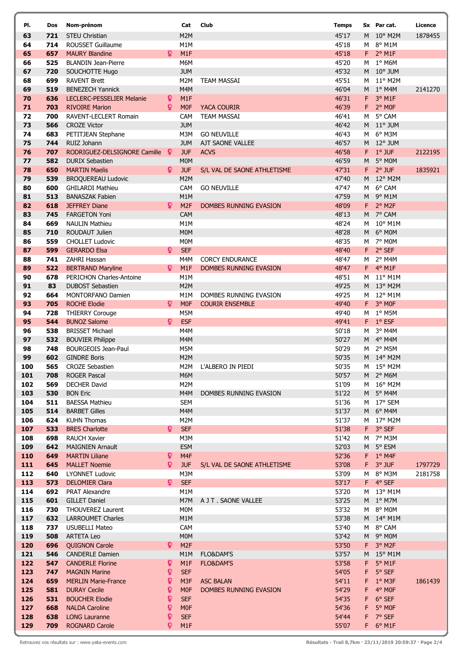| PI.      | Dos        | Nom-prénom                                            |              | Cat              | Club                        | <b>Temps</b>   |                | Sx Par cat.        | Licence |
|----------|------------|-------------------------------------------------------|--------------|------------------|-----------------------------|----------------|----------------|--------------------|---------|
| 63       | 721        | <b>STEU Christian</b>                                 |              | M2M              |                             | 45'17          |                | M 10° M2M          | 1878455 |
| 64       | 714        | <b>ROUSSET Guillaume</b>                              |              | M1M              |                             | 45'18          | M              | 8° M1M             |         |
| 65       | 657        | <b>MAURY Blandine</b>                                 | Q            | M1F              |                             | 45'18          |                | $F$ 2° M1F         |         |
| 66       | 525        | <b>BLANDIN Jean-Pierre</b>                            |              | M6M              |                             | 45'20          |                | M 1° M6M           |         |
| 67       | 720        | <b>SOUCHOTTE Hugo</b>                                 |              | <b>JUM</b>       |                             | 45'32          |                | $M$ 10° JUM        |         |
| 68       | 699        | <b>RAVENT Brett</b>                                   |              | M2M              | <b>TEAM MASSAI</b>          | 45'51          | M              | $11^{\circ}$ M2M   |         |
| 69       | 519        | <b>BENEZECH Yannick</b>                               |              | M4M              |                             | 46'04          | M              | $1^\circ$ M4M      | 2141270 |
| 70       | 636        | LECLERC-PESSELIER Melanie                             | ្            | M <sub>1</sub> F |                             | 46'31          | F.             | 3° M1F             |         |
| 71       | 703        | <b>RIVOIRE Marion</b>                                 | Q            | M <sub>OF</sub>  | <b>YACA COURIR</b>          | 46'39          | F.             | 2° MOF             |         |
| 72       | 700        | RAVENT-LECLERT Romain                                 |              | CAM              | <b>TEAM MASSAI</b>          | 46'41          | M              | 5° CAM             |         |
| 73       | 566        | <b>CROZE Victor</b>                                   |              | <b>JUM</b>       |                             | 46'42          |                | M 11° JUM          |         |
| 74       | 683        | PETITJEAN Stephane                                    |              | M3M              | <b>GO NEUVILLE</b>          | 46'43          | M              | 6° M3M             |         |
| 75       | 744        | RUIZ Johann                                           |              | <b>JUM</b>       | AJT SAONE VALLEE            | 46'57          | M              | $12^{\circ}$ JUM   |         |
| 76       | 707        | RODRIGUEZ-DELSIGNORE Camille                          | -9           | <b>JUF</b>       | <b>ACVS</b>                 | 46'58          | F.             | $1°$ JUF           | 2122195 |
| 77       | 582        | <b>DURIX Sebastien</b>                                |              | M <sub>0</sub> M |                             | 46'59          | M              | 5° MOM             |         |
| 78       | 650        | <b>MARTIN Maelis</b>                                  | Q            | <b>JUF</b>       | S/L VAL DE SAONE ATHLETISME | 47'31          | F.             | $2°$ JUF           | 1835921 |
| 79       | 539        | <b>BROQUEREAU Ludovic</b>                             |              | M2M              |                             | 47'40          | M              | $12^{\circ}$ M2M   |         |
| 80       | 600        | <b>GHILARDI Mathieu</b>                               |              | CAM              | <b>GO NEUVILLE</b>          | 47'47          | м              | 6° CAM             |         |
| 81       | 513        | <b>BANASZAK Fabien</b>                                |              | M1M              |                             | 47'59          | M              | 9° M1M             |         |
| 82       | 618        | <b>JEFFREY Diane</b>                                  | Q            | M <sub>2F</sub>  | DOMBES RUNNING EVASION      | 48'09          | $F -$          | 2° M2F             |         |
| 83       | 745        | <b>FARGETON Yoni</b>                                  |              | CAM              |                             | 48'13          |                | M 7º CAM           |         |
| 84       | 669        | <b>NAULIN Mathieu</b>                                 |              | M1M              |                             | 48'24          | м              | 10° M1M            |         |
| 85       | 710        | ROUDAUT Julien                                        |              | <b>MOM</b>       |                             | 48'28          | M <sub>1</sub> | 6° MOM             |         |
| 86       | 559        | <b>CHOLLET Ludovic</b>                                |              | M <sub>0</sub> M |                             | 48'35          |                | $M7$ ° MOM         |         |
| 87       | 599        | <b>GERARDO Elsa</b>                                   | ò            | <b>SEF</b>       |                             | 48'40          |                | F 2° SEF           |         |
| 88       | 741        | ZAHRI Hassan                                          |              | M4M              | <b>CORCY ENDURANCE</b>      | 48'47          | M              | 2° M4M             |         |
| 89       | 522        | <b>BERTRAND Maryline</b>                              | Ω            | M1F              | DOMBES RUNNING EVASION      | 48'47          |                | $F$ 4° M1F         |         |
| 90       | 678        | PERICHON Charles-Antoine                              |              | M1M              |                             | 48'51          |                | M 11° M1M          |         |
| 91       | 83         | <b>DUBOST Sebastien</b>                               |              | M2M              |                             | 49'25          |                | M 13° M2M          |         |
| 92       | 664        | <b>MONTORFANO Damien</b>                              |              | M1M              | DOMBES RUNNING EVASION      | 49'25          | M              | 12° M1M            |         |
| 93       | 705        | <b>ROCHE Elodie</b>                                   | Q.           | <b>MOF</b>       | <b>COURIR ENSEMBLE</b>      | 49'40          | F.             | 3° MOF             |         |
| 94       | 728        | <b>THIERRY Corouge</b>                                |              | M5M              |                             | 49'40          | M              | 1° M5M             |         |
| 95       | 544        | <b>BUNOZ Salome</b>                                   | Q            | <b>ESF</b>       |                             | 49'41          |                | F 1° ESF           |         |
| 96       | 538        | <b>BRISSET Michael</b>                                |              | M4M              |                             | 50'18          | M              | 3° M4M             |         |
| 97<br>98 | 532<br>748 | <b>BOUVIER Philippe</b><br><b>BOURGEOIS Jean-Paul</b> |              | M4M<br>M5M       |                             | 50'27<br>50'29 |                | M 4° M4M<br>2° M5M |         |
| 99       | 602        | <b>GINDRE Boris</b>                                   |              | M2M              |                             | 50'35          | M              | M 14° M2M          |         |
| 100      | 565        | <b>CROZE Sebastien</b>                                |              | M2M              |                             |                |                | M 15° M2M          |         |
| 101      | 708        | <b>ROGER Pascal</b>                                   |              | M6M              | L'ALBERO IN PIEDI           | 50'35<br>50'57 |                | M 2° M6M           |         |
| 102      | 569        | <b>DECHER David</b>                                   |              | M2M              |                             | 51'09          |                | M 16° M2M          |         |
| 103      | 530        | <b>BON Eric</b>                                       |              | M4M              | DOMBES RUNNING EVASION      | 51'22          |                | M 5° M4M           |         |
| 104      | 511        | <b>BAESSA Mathieu</b>                                 |              | <b>SEM</b>       |                             | 51'36          |                | M 17° SEM          |         |
| 105      | 514        | <b>BARBET Gilles</b>                                  |              | M4M              |                             | 51'37          | M              | 6° M4M             |         |
| 106      | 624        | <b>KUHN Thomas</b>                                    |              | M2M              |                             | 51'37          | M              | 17° M2M            |         |
| 107      | 533        | <b>BRES Charlotte</b>                                 | Q.           | <b>SEF</b>       |                             | 51'38          | F.             | 3° SEF             |         |
| 108      | 698        | <b>RAUCH Xavier</b>                                   |              | M3M              |                             | 51'42          |                | M 7° M3M           |         |
| 109      | 642        | <b>MAIGNIEN Arnault</b>                               |              | <b>ESM</b>       |                             | 52'03          | M              | 5° ESM             |         |
| 110      | 649        | <b>MARTIN Liliane</b>                                 | ò            | M <sub>4F</sub>  |                             | 52'36          | F.             | $1^{\circ}$ M4F    |         |
| 111      | 645        | <b>MALLET Noemie</b>                                  | $\mathsf{Q}$ | <b>JUF</b>       | S/L VAL DE SAONE ATHLETISME | 53'08          | F.             | 3° JUF             | 1797729 |
| 112      | 640        | <b>LYONNET Ludovic</b>                                |              | M3M              |                             | 53'09          | м              | 8° M3M             | 2181758 |
| 113      | 573        | <b>DELOMIER Clara</b>                                 | $\mathbf{Q}$ | <b>SEF</b>       |                             | 53'17          |                | F 4° SEF           |         |
| 114      | 692        | PRAT Alexandre                                        |              | M1M              |                             | 53'20          |                | M 13° M1M          |         |
| 115      | 601        | <b>GILLET Daniel</b>                                  |              | M7M              | A J T . SAONE VALLEE        | 53'25          |                | M 1° M7M           |         |
| 116      | 730        | <b>THOUVEREZ Laurent</b>                              |              | M0M              |                             | 53'32          | M              | 8° M0M             |         |
| 117      | 632        | <b>LARROUMET Charles</b>                              |              | M1M              |                             | 53'38          |                | M 14° M1M          |         |
| 118      | 737        | <b>USUBELLI Mateo</b>                                 |              | CAM              |                             | 53'40          | М              | 8° CAM             |         |
| 119      | 508        | <b>ARTETA Leo</b>                                     |              | <b>MOM</b>       |                             | 53'42          | M              | $9°$ MOM           |         |
| 120      | 696        | <b>QUIGNON Carole</b>                                 | Ω            | M <sub>2F</sub>  |                             | 53'50          | F.             | 3° M2F             |         |
| 121      | 546        | <b>CANDERLE Damien</b>                                |              | M1M              | <b>FLO&amp;DAM'S</b>        | 53'57          | M              | $15^{\circ}$ M1M   |         |
| 122      | 547        | <b>CANDERLE Florine</b>                               | Q            | M1F              | <b>FLO&amp;DAM'S</b>        | 53'58          | F              | 5° M1F             |         |
| 123      | 747        | <b>MAGNIN Marine</b>                                  | ò            | <b>SEF</b>       |                             | 54'05          | F              | 5° SEF             |         |
| 124      | 659        | <b>MERLIN Marie-France</b>                            | ុ            | M <sub>3F</sub>  | <b>ASC BALAN</b>            | 54'11          | F              | $1°$ M3F           | 1861439 |
| 125      | 581        | <b>DURAY Cecile</b>                                   | ò            | <b>MOF</b>       | DOMBES RUNNING EVASION      | 54'29          | F              | 4° MOF             |         |
| 126      | 531        | <b>BOUCHER Elodie</b>                                 | ្            | <b>SEF</b>       |                             | 54'35          | F              | 6° SEF             |         |
| 127      | 668        | <b>NALDA Caroline</b>                                 | ្            | M <sub>OF</sub>  |                             | 54'36          | F              | 5° MOF             |         |
| 128      | 638        | <b>LONG Lauranne</b>                                  | Q            | <b>SEF</b>       |                             | 54'44          | F              | 7° SEF             |         |
| 129      | 709        | <b>ROGNARD Carole</b>                                 | Q            | M1F              |                             | 55'07          | F.             | $6°$ M1F           |         |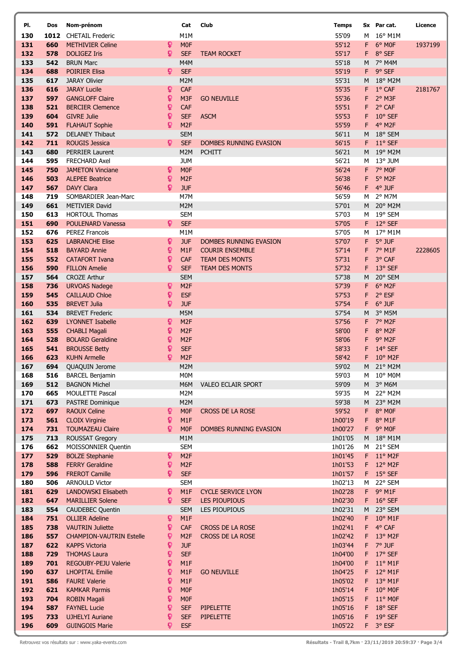| PI.        | Dos        | Nom-prénom                                     |                  | Cat                                | Club                      | <b>Temps</b>       |         | Sx Par cat.                  | Licence |
|------------|------------|------------------------------------------------|------------------|------------------------------------|---------------------------|--------------------|---------|------------------------------|---------|
| 130        | 1012       | <b>CHETAIL Frederic</b>                        |                  | M1M                                |                           | 55'09              | M       | $16^{\circ}$ M1M             |         |
| 131        | 660        | <b>METHIVIER Celine</b>                        | ្                | M <sub>0F</sub>                    |                           | 55'12              | F.      | 6° MOF                       | 1937199 |
| 132        | 578        | <b>DOLIGEZ Iris</b>                            | Q                | <b>SEF</b>                         | <b>TEAM ROCKET</b>        | 55'17              | F.      | 8° SEF                       |         |
| 133        | 542        | <b>BRUN Marc</b>                               |                  | M4M                                |                           | 55'18              | M       | 7° M4M                       |         |
| 134        | 688        | <b>POIRIER Elisa</b>                           | Q                | <b>SEF</b>                         |                           | 55'19              | F.      | 9° SEF                       |         |
| 135        | 617        | <b>JARAY Olivier</b>                           |                  | M <sub>2</sub> M                   |                           | 55'31              | M       | 18° M2M                      |         |
| 136        | 616        | <b>JARAY Lucile</b>                            | ò                | CAF                                |                           | 55'35              | F       | $1^{\circ}$ CAF              | 2181767 |
| 137        | 597        | <b>GANGLOFF Claire</b>                         | Q                | M <sub>3F</sub>                    | <b>GO NEUVILLE</b>        | 55'36              | F.      | 2° M3F                       |         |
| 138        | 521        | <b>BERCIER Clemence</b>                        | ្                | CAF                                |                           | 55'51              | F.      | 2° CAF                       |         |
| 139        | 604        | <b>GIVRE Julie</b>                             | Q                | <b>SEF</b>                         | <b>ASCM</b>               | 55'53              | F.      | 10° SEF                      |         |
| 140        | 591        | <b>FLAHAUT Sophie</b>                          | Q                | M <sub>2F</sub>                    |                           | 55'59              | F.      | 4° M2F                       |         |
| 141        | 572        | <b>DELANEY Thibaut</b>                         |                  | <b>SEM</b>                         |                           | 56'11              | M       | 18° SEM                      |         |
| 142        | 711        | <b>ROUGIS Jessica</b>                          | Q                | <b>SEF</b>                         | DOMBES RUNNING EVASION    | 56'15              | F.      | $11^{\circ}$ SEF             |         |
| 143<br>144 | 680<br>595 | <b>PERRIER Laurent</b><br><b>FRECHARD Axel</b> |                  | M2M<br><b>JUM</b>                  | <b>PCHITT</b>             | 56'21<br>56'21     | м       | M 19° M2M<br>13° JUM         |         |
| 145        | 750        | <b>JAMETON Vinciane</b>                        | ò                | M <sub>0F</sub>                    |                           | 56'24              |         | F 7° MOF                     |         |
| 146        | 503        | <b>ALEPEE Beatrice</b>                         | ្                | M <sub>2F</sub>                    |                           | 56'38              | F       | 5° M2F                       |         |
| 147        | 567        | <b>DAVY Clara</b>                              | $\overline{Q}$   | <b>JUF</b>                         |                           | 56'46              | $F -$   | 4° JUF                       |         |
| 148        | 719        | SOMBARDIER Jean-Marc                           |                  | M7M                                |                           | 56'59              | м       | 2° M7M                       |         |
| 149        | 661        | <b>METIVIER David</b>                          |                  | M <sub>2</sub> M                   |                           | 57'01              | M       | 20° M2M                      |         |
| 150        | 613        | <b>HORTOUL Thomas</b>                          |                  | <b>SEM</b>                         |                           | 57'03              | M       | 19° SEM                      |         |
| 151        | 690        | <b>POULENARD Vanessa</b>                       | $\mathbf{Q}$     | <b>SEF</b>                         |                           | 57'05              | F       | 12° SEF                      |         |
| 152        | 676        | <b>PEREZ Francois</b>                          |                  | M1M                                |                           | 57'05              | M       | 17° M1M                      |         |
| 153        | 625        | <b>LABRANCHE Elise</b>                         | Q                | <b>JUF</b>                         | DOMBES RUNNING EVASION    | 57'07              | F       | 5° JUF                       |         |
| 154        | 518        | <b>BAYARD Annie</b>                            | Q                | M <sub>1</sub> F                   | <b>COURIR ENSEMBLE</b>    | 57'14              | F.      | 7° M1F                       | 2228605 |
| 155        | 552        | <b>CATAFORT Ivana</b>                          | Q                | <b>CAF</b>                         | <b>TEAM DES MONTS</b>     | 57'31              | F       | 3° CAF                       |         |
| 156        | 590        | <b>FILLON Amelie</b>                           | Ω                | <b>SEF</b>                         | <b>TEAM DES MONTS</b>     | 57'32              | F       | 13° SEF                      |         |
| 157        | 564        | <b>CROZE Arthur</b>                            |                  | <b>SEM</b>                         |                           | 57'38              | M       | 20° SEM                      |         |
| 158        | 736        | <b>URVOAS Nadege</b>                           | ¥                | M <sub>2F</sub>                    |                           | 57'39              | F.      | 6° M2F                       |         |
| 159        | 545        | <b>CAILLAUD Chloe</b>                          | Q                | <b>ESF</b>                         |                           | 57'53              | F       | 2° ESF                       |         |
| 160        | 535        | <b>BREVET Julia</b>                            | Q                | <b>JUF</b>                         |                           | 57'54              | F       | 6° JUF                       |         |
| 161        | 534        | <b>BREVET Frederic</b>                         |                  | M5M                                |                           | 57'54              | M       | 3° M5M                       |         |
| 162        | 639        | <b>LYONNET Isabelle</b>                        | ្                | M <sub>2F</sub>                    |                           | 57'56              | F.      | 7° M2F                       |         |
| 163        | 555        | <b>CHABLI Magali</b>                           | ្                | M <sub>2F</sub>                    |                           | 58'00              | F.      | 8° M2F                       |         |
| 164        | 528        | <b>BOLARD Geraldine</b>                        | ុ                | M <sub>2F</sub>                    |                           | 58'06              | F.      | 9° M2F                       |         |
| 165        | 541        | <b>BROUSSE Betty</b>                           | Q                | <b>SEF</b>                         |                           | 58'33              | F       | 14° SEF                      |         |
| 166        | 623        | <b>KUHN Armelle</b>                            | Q                | M <sub>2F</sub>                    |                           | 58'42              | F.      | $10^{\circ}$ M <sub>2F</sub> |         |
| 167        | 694        | QUAQUIN Jerome                                 |                  | M2M                                |                           | 59'02              | M       | 21° M2M                      |         |
| 168        | 516        | <b>BARCEL Benjamin</b>                         |                  | M0M                                |                           | 59'03              |         | M 10° M0M                    |         |
| 169        | 512<br>665 | <b>BAGNON Michel</b><br>MOULETTE Pascal        |                  | M6M<br>M2M                         | VALEO ECLAIR SPORT        | 59'09<br>59'35     |         | M 3° M6M<br>M 22° M2M        |         |
| 170<br>171 | 673        | PASTRE Dominique                               |                  | M2M                                |                           | 59'38              |         | M 23° M2M                    |         |
| 172        | 697        | <b>RAOUX Celine</b>                            | ¥                | M <sub>0F</sub>                    | CROSS DE LA ROSE          | 59'52              | F.      | 8° MOF                       |         |
| 173        | 561        | <b>CLOIX Virginie</b>                          | ្                | M1F                                |                           | 1h00'19            | F.      | 8° M1F                       |         |
| 174        | 731        | <b>TOUMAZEAU Claire</b>                        | ဝှ               | <b>MOF</b>                         | DOMBES RUNNING EVASION    | 1h00'27            | F.      | 9° MOF                       |         |
| 175        | 713        | ROUSSAT Gregory                                |                  | M1M                                |                           | 1h01'05            | M       | $18^{\circ}$ M1M             |         |
| 176        | 662        | MOISSONNIER Quentin                            |                  | <b>SEM</b>                         |                           | 1h01'26            | M       | 21° SEM                      |         |
| 177        | 529        | <b>BOLZE Stephanie</b>                         | Q                | M <sub>2F</sub>                    |                           | 1h01'45            |         | F 11° M2F                    |         |
| 178        | 588        | <b>FERRY Geraldine</b>                         | ុ                | M <sub>2F</sub>                    |                           | 1h01'53            |         | F 12° M2F                    |         |
| 179        | 596        | <b>FREROT Camille</b>                          | Q                | <b>SEF</b>                         |                           | 1h01'57            |         | $F$ 15° SEF                  |         |
| 180        | 506        | <b>ARNOULD Victor</b>                          |                  | <b>SEM</b>                         |                           | 1h02'13            | M       | 22° SEM                      |         |
| 181        | 629        | LANDOWSKI Elisabeth                            | Q                | M1F                                | <b>CYCLE SERVICE LYON</b> | 1h02'28            | F.      | 9° M1F                       |         |
| 182        | 647        | <b>MARILLIER Solene</b>                        | ្                | <b>SEF</b>                         | <b>LES PIOUPIOUS</b>      | 1h02'30            | F.      | $16°$ SEF                    |         |
| 183        | 554        | <b>CAUDEBEC Quentin</b>                        |                  | <b>SEM</b>                         | <b>LES PIOUPIOUS</b>      | 1h02'31            | M       | 23° SEM                      |         |
| 184        | 751        | <b>OLLIER Adeline</b>                          | Q                | M1F                                |                           | 1h02'40            |         | F 10° M1F                    |         |
| 185        | 738        | <b>VAUTRIN Juliette</b>                        | Q                | <b>CAF</b>                         | CROSS DE LA ROSE          | 1h02'41            | F.      | 4° CAF                       |         |
| 186        | 557        | <b>CHAMPION-VAUTRIN Estelle</b>                | ្                | M <sub>2F</sub>                    | CROSS DE LA ROSE          | 1h02'42            | F.      | 13° M2F                      |         |
| 187        | 622        | <b>KAPPS Victoria</b>                          | Q                | <b>JUF</b>                         |                           | 1h03'44            | F.      | 7° JUF                       |         |
| 188        | 729        | <b>THOMAS Laura</b>                            | Q                | <b>SEF</b>                         |                           | 1h04'00            | F.      | 17° SEF                      |         |
| 189        | 701        | REGOUBY-PEJU Valerie                           | ្                | M1F                                |                           | 1h04'00            | F.      | $11^{\circ}$ M1F             |         |
| 190        | 637        | <b>LHOPITAL Emilie</b>                         | Q                | M1F                                | <b>GO NEUVILLE</b>        | 1h04'25            | F.      | 12° M1F                      |         |
| 191        | 586        | <b>FAURE Valerie</b>                           | $\boldsymbol{Q}$ | M <sub>1</sub> F                   |                           | 1h05'02            | F.      | 13° M1F                      |         |
| 192<br>193 | 621<br>704 | <b>KAMKAR Parmis</b><br><b>ROBIN Magali</b>    | Q<br>្           | M <sub>0F</sub><br>M <sub>0F</sub> |                           | 1h05'14<br>1h05'15 | F.<br>F | $10^{\circ}$ MOF<br>11° M0F  |         |
| 194        | 587        | <b>FAYNEL Lucie</b>                            | ្                | <b>SEF</b>                         | <b>PIPELETTE</b>          | 1h05'16            | F.      | 18° SEF                      |         |
| 195        | 733        | <b>UJHELYI Auriane</b>                         | Q                | <b>SEF</b>                         | <b>PIPELETTE</b>          | 1h05'16            | F.      | $19°$ SEF                    |         |
| 196        | 609        | <b>GUINGOIS Marie</b>                          | Q                | <b>ESF</b>                         |                           | 1h05'22            |         | F 3° ESF                     |         |
|            |            |                                                |                  |                                    |                           |                    |         |                              |         |